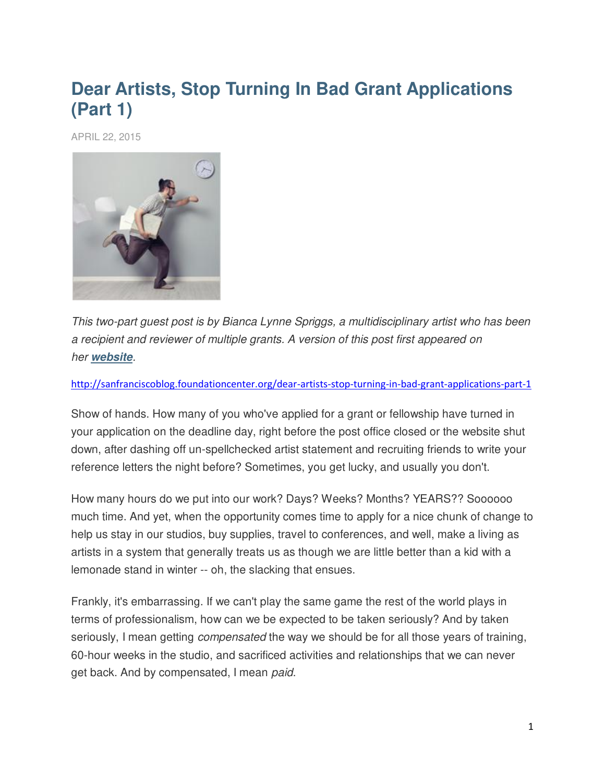## **Dear Artists, Stop Turning In Bad Grant Applications (Part 1)**

APRIL 22, 2015



*This two-part guest post is by Bianca Lynne Spriggs, a multidisciplinary artist who has been a recipient and reviewer of multiple grants. A version of this post first appeared on her [website](http://www.biancaspriggs.com/blog/dear-artists-stop-turning-in-crappy-grant-applications).*

<http://sanfranciscoblog.foundationcenter.org/dear-artists-stop-turning-in-bad-grant-applications-part-1>

Show of hands. How many of you who've applied for a grant or fellowship have turned in your application on the deadline day, right before the post office closed or the website shut down, after dashing off un-spellchecked artist statement and recruiting friends to write your reference letters the night before? Sometimes, you get lucky, and usually you don't.

How many hours do we put into our work? Days? Weeks? Months? YEARS?? Soooooo much time. And yet, when the opportunity comes time to apply for a nice chunk of change to help us stay in our studios, buy supplies, travel to conferences, and well, make a living as artists in a system that generally treats us as though we are little better than a kid with a lemonade stand in winter -- oh, the slacking that ensues.

Frankly, it's embarrassing. If we can't play the same game the rest of the world plays in terms of professionalism, how can we be expected to be taken seriously? And by taken seriously, I mean getting *compensated* the way we should be for all those years of training, 60-hour weeks in the studio, and sacrificed activities and relationships that we can never get back. And by compensated, I mean *paid*.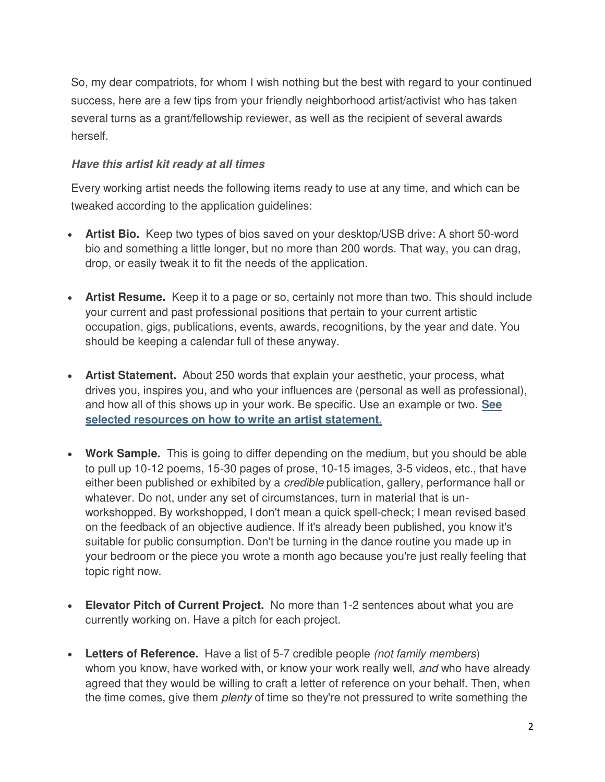So, my dear compatriots, for whom I wish nothing but the best with regard to your continued success, here are a few tips from your friendly neighborhood artist/activist who has taken several turns as a grant/fellowship reviewer, as well as the recipient of several awards herself.

### *Have this artist kit ready at all times*

Every working artist needs the following items ready to use at any time, and which can be tweaked according to the application guidelines:

- **Artist Bio.** Keep two types of bios saved on your desktop/USB drive: A short 50-word bio and something a little longer, but no more than 200 words. That way, you can drag, drop, or easily tweak it to fit the needs of the application.
- **Artist Resume.** Keep it to a page or so, certainly not more than two. This should include your current and past professional positions that pertain to your current artistic occupation, gigs, publications, events, awards, recognitions, by the year and date. You should be keeping a calendar full of these anyway.
- **Artist Statement.** About 250 words that explain your aesthetic, your process, what drives you, inspires you, and who your influences are (personal as well as professional), and how all of this shows up in your work. Be specific. Use an example or two. **[See](http://grantspace.org/tools/knowledge-base/Individual-Grantseekers/Artists/artist-s-statements)  [selected resources on how to write an artist statement.](http://grantspace.org/tools/knowledge-base/Individual-Grantseekers/Artists/artist-s-statements)**
- **Work Sample.** This is going to differ depending on the medium, but you should be able to pull up 10-12 poems, 15-30 pages of prose, 10-15 images, 3-5 videos, etc., that have either been published or exhibited by a *credible* publication, gallery, performance hall or whatever. Do not, under any set of circumstances, turn in material that is unworkshopped. By workshopped, I don't mean a quick spell-check; I mean revised based on the feedback of an objective audience. If it's already been published, you know it's suitable for public consumption. Don't be turning in the dance routine you made up in your bedroom or the piece you wrote a month ago because you're just really feeling that topic right now.
- **Elevator Pitch of Current Project.** No more than 1-2 sentences about what you are currently working on. Have a pitch for each project.
- **Letters of Reference.** Have a list of 5-7 credible people *(not family members*) whom you know, have worked with, or know your work really well, *and* who have already agreed that they would be willing to craft a letter of reference on your behalf. Then, when the time comes, give them *plenty* of time so they're not pressured to write something the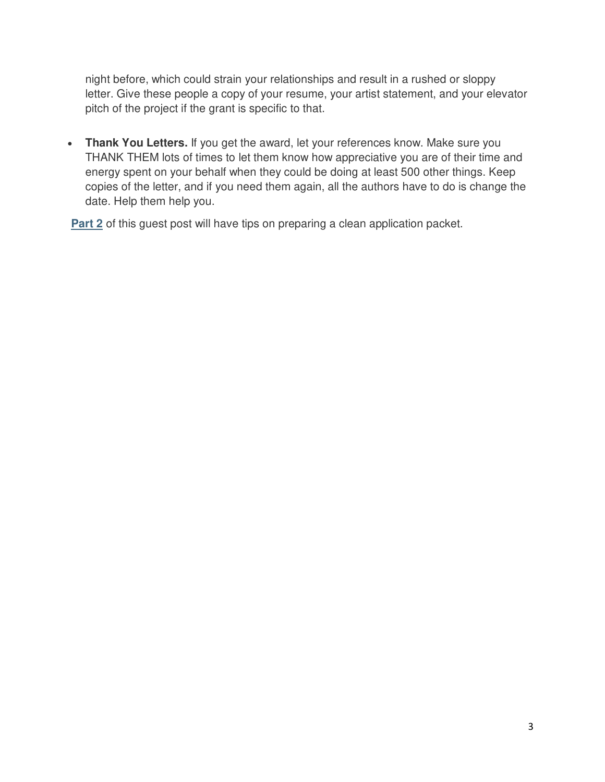night before, which could strain your relationships and result in a rushed or sloppy letter. Give these people a copy of your resume, your artist statement, and your elevator pitch of the project if the grant is specific to that.

 **Thank You Letters.** If you get the award, let your references know. Make sure you THANK THEM lots of times to let them know how appreciative you are of their time and energy spent on your behalf when they could be doing at least 500 other things. Keep copies of the letter, and if you need them again, all the authors have to do is change the date. Help them help you.

**[Part 2](http://grantspace.org/blog/dear-artists-stop-turning-in-bad-grant-applications-part-2)** of this guest post will have tips on preparing a clean application packet.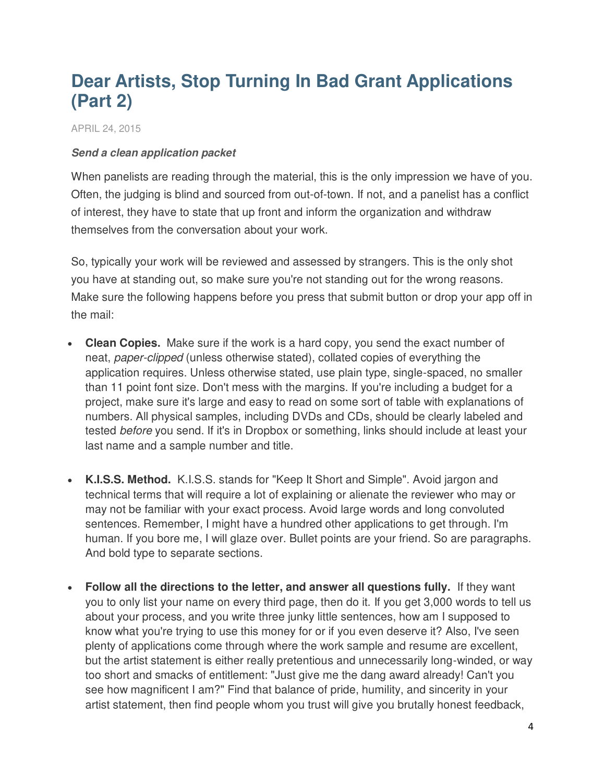# **Dear Artists, Stop Turning In Bad Grant Applications (Part 2)**

APRIL 24, 2015

#### *Send a clean application packet*

When panelists are reading through the material, this is the only impression we have of you. Often, the judging is blind and sourced from out-of-town. If not, and a panelist has a conflict of interest, they have to state that up front and inform the organization and withdraw themselves from the conversation about your work.

So, typically your work will be reviewed and assessed by strangers. This is the only shot you have at standing out, so make sure you're not standing out for the wrong reasons. Make sure the following happens before you press that submit button or drop your app off in the mail:

- **Clean Copies.** Make sure if the work is a hard copy, you send the exact number of neat, *paper-clipped* (unless otherwise stated), collated copies of everything the application requires. Unless otherwise stated, use plain type, single-spaced, no smaller than 11 point font size. Don't mess with the margins. If you're including a budget for a project, make sure it's large and easy to read on some sort of table with explanations of numbers. All physical samples, including DVDs and CDs, should be clearly labeled and tested *before* you send. If it's in Dropbox or something, links should include at least your last name and a sample number and title.
- **K.I.S.S. Method.** K.I.S.S. stands for "Keep It Short and Simple". Avoid jargon and technical terms that will require a lot of explaining or alienate the reviewer who may or may not be familiar with your exact process. Avoid large words and long convoluted sentences. Remember, I might have a hundred other applications to get through. I'm human. If you bore me, I will glaze over. Bullet points are your friend. So are paragraphs. And bold type to separate sections.
- **Follow all the directions to the letter, and answer all questions fully.** If they want you to only list your name on every third page, then do it. If you get 3,000 words to tell us about your process, and you write three junky little sentences, how am I supposed to know what you're trying to use this money for or if you even deserve it? Also, I've seen plenty of applications come through where the work sample and resume are excellent, but the artist statement is either really pretentious and unnecessarily long-winded, or way too short and smacks of entitlement: "Just give me the dang award already! Can't you see how magnificent I am?" Find that balance of pride, humility, and sincerity in your artist statement, then find people whom you trust will give you brutally honest feedback,